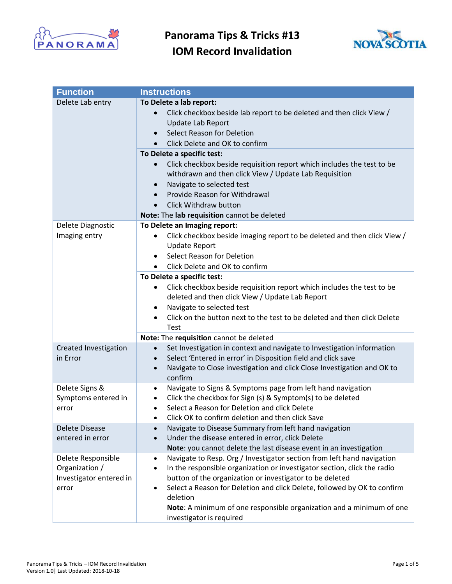



| <b>Function</b>                                                          | <b>Instructions</b>                                                                                                                                                                                                                                                                                                                                                                                                                                                                                                         |
|--------------------------------------------------------------------------|-----------------------------------------------------------------------------------------------------------------------------------------------------------------------------------------------------------------------------------------------------------------------------------------------------------------------------------------------------------------------------------------------------------------------------------------------------------------------------------------------------------------------------|
| Delete Lab entry                                                         | To Delete a lab report:<br>Click checkbox beside lab report to be deleted and then click View /<br>Update Lab Report<br>Select Reason for Deletion<br>$\bullet$<br>Click Delete and OK to confirm<br>$\bullet$<br>To Delete a specific test:<br>Click checkbox beside requisition report which includes the test to be<br>$\bullet$<br>withdrawn and then click View / Update Lab Requisition<br>Navigate to selected test<br>$\bullet$<br>Provide Reason for Withdrawal<br>$\bullet$<br>Click Withdraw button<br>$\bullet$ |
|                                                                          | Note: The lab requisition cannot be deleted                                                                                                                                                                                                                                                                                                                                                                                                                                                                                 |
| Delete Diagnostic<br>Imaging entry                                       | To Delete an Imaging report:<br>Click checkbox beside imaging report to be deleted and then click View /<br>٠<br><b>Update Report</b><br>Select Reason for Deletion<br>$\bullet$<br>Click Delete and OK to confirm<br>$\bullet$                                                                                                                                                                                                                                                                                             |
|                                                                          | To Delete a specific test:<br>Click checkbox beside requisition report which includes the test to be<br>٠<br>deleted and then click View / Update Lab Report<br>Navigate to selected test<br>٠<br>Click on the button next to the test to be deleted and then click Delete<br>Test                                                                                                                                                                                                                                          |
|                                                                          | Note: The requisition cannot be deleted                                                                                                                                                                                                                                                                                                                                                                                                                                                                                     |
| Created Investigation<br>in Error                                        | Set Investigation in context and navigate to Investigation information<br>Select 'Entered in error' in Disposition field and click save<br>$\bullet$<br>Navigate to Close investigation and click Close Investigation and OK to<br>$\bullet$<br>confirm                                                                                                                                                                                                                                                                     |
| Delete Signs &<br>Symptoms entered in<br>error                           | Navigate to Signs & Symptoms page from left hand navigation<br>$\bullet$<br>Click the checkbox for Sign (s) & Symptom(s) to be deleted<br>$\bullet$<br>Select a Reason for Deletion and click Delete<br>$\bullet$<br>Click OK to confirm deletion and then click Save                                                                                                                                                                                                                                                       |
| <b>Delete Disease</b><br>entered in error                                | Navigate to Disease Summary from left hand navigation<br>Under the disease entered in error, click Delete<br>$\bullet$<br>Note: you cannot delete the last disease event in an investigation                                                                                                                                                                                                                                                                                                                                |
| Delete Responsible<br>Organization /<br>Investigator entered in<br>error | Navigate to Resp. Org / Investigator section from left hand navigation<br>٠<br>In the responsible organization or investigator section, click the radio<br>$\bullet$<br>button of the organization or investigator to be deleted<br>Select a Reason for Deletion and click Delete, followed by OK to confirm<br>$\bullet$<br>deletion<br>Note: A minimum of one responsible organization and a minimum of one<br>investigator is required                                                                                   |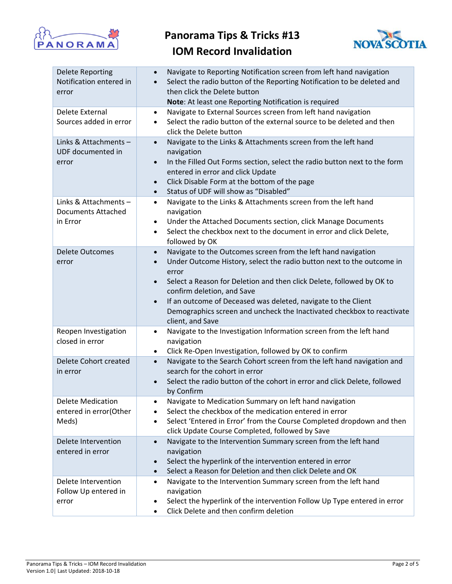



| <b>Delete Reporting</b><br>Notification entered in<br>error | Navigate to Reporting Notification screen from left hand navigation<br>$\bullet$<br>Select the radio button of the Reporting Notification to be deleted and<br>$\bullet$<br>then click the Delete button<br>Note: At least one Reporting Notification is required                                                                                                                                                                                                         |
|-------------------------------------------------------------|---------------------------------------------------------------------------------------------------------------------------------------------------------------------------------------------------------------------------------------------------------------------------------------------------------------------------------------------------------------------------------------------------------------------------------------------------------------------------|
| Delete External<br>Sources added in error                   | Navigate to External Sources screen from left hand navigation<br>$\bullet$<br>Select the radio button of the external source to be deleted and then<br>$\bullet$<br>click the Delete button                                                                                                                                                                                                                                                                               |
| Links & Attachments-<br>UDF documented in<br>error          | Navigate to the Links & Attachments screen from the left hand<br>$\bullet$<br>navigation<br>In the Filled Out Forms section, select the radio button next to the form<br>$\bullet$<br>entered in error and click Update<br>Click Disable Form at the bottom of the page<br>$\bullet$<br>Status of UDF will show as "Disabled"<br>$\bullet$                                                                                                                                |
| Links & Attachments-<br>Documents Attached<br>in Error      | Navigate to the Links & Attachments screen from the left hand<br>$\bullet$<br>navigation<br>Under the Attached Documents section, click Manage Documents<br>$\bullet$<br>Select the checkbox next to the document in error and click Delete,<br>$\bullet$<br>followed by OK                                                                                                                                                                                               |
| <b>Delete Outcomes</b><br>error                             | Navigate to the Outcomes screen from the left hand navigation<br>$\bullet$<br>Under Outcome History, select the radio button next to the outcome in<br>$\bullet$<br>error<br>Select a Reason for Deletion and then click Delete, followed by OK to<br>$\bullet$<br>confirm deletion, and Save<br>If an outcome of Deceased was deleted, navigate to the Client<br>$\bullet$<br>Demographics screen and uncheck the Inactivated checkbox to reactivate<br>client, and Save |
| Reopen Investigation<br>closed in error                     | Navigate to the Investigation Information screen from the left hand<br>$\bullet$<br>navigation<br>Click Re-Open Investigation, followed by OK to confirm<br>$\bullet$                                                                                                                                                                                                                                                                                                     |
| Delete Cohort created<br>in error                           | Navigate to the Search Cohort screen from the left hand navigation and<br>$\bullet$<br>search for the cohort in error<br>Select the radio button of the cohort in error and click Delete, followed<br>$\bullet$<br>by Confirm                                                                                                                                                                                                                                             |
| <b>Delete Medication</b><br>entered in error(Other<br>Meds) | Navigate to Medication Summary on left hand navigation<br>$\bullet$<br>Select the checkbox of the medication entered in error<br>$\bullet$<br>Select 'Entered in Error' from the Course Completed dropdown and then<br>$\bullet$<br>click Update Course Completed, followed by Save                                                                                                                                                                                       |
| Delete Intervention<br>entered in error                     | Navigate to the Intervention Summary screen from the left hand<br>$\bullet$<br>navigation<br>Select the hyperlink of the intervention entered in error<br>$\bullet$<br>Select a Reason for Deletion and then click Delete and OK<br>$\bullet$                                                                                                                                                                                                                             |
| Delete Intervention<br>Follow Up entered in<br>error        | Navigate to the Intervention Summary screen from the left hand<br>$\bullet$<br>navigation<br>Select the hyperlink of the intervention Follow Up Type entered in error<br>$\bullet$<br>Click Delete and then confirm deletion<br>$\bullet$                                                                                                                                                                                                                                 |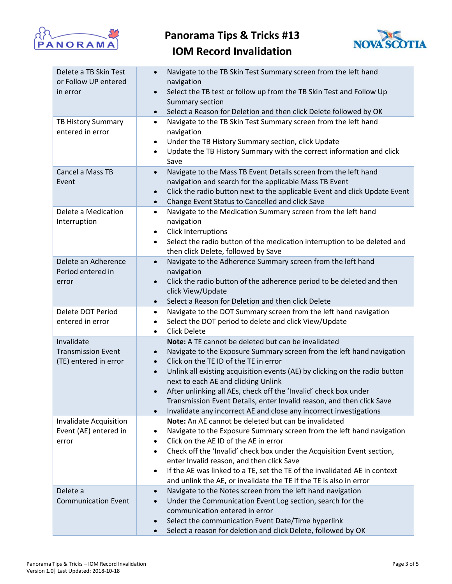



| Delete a TB Skin Test<br>or Follow UP entered<br>in error        | Navigate to the TB Skin Test Summary screen from the left hand<br>$\bullet$<br>navigation<br>Select the TB test or follow up from the TB Skin Test and Follow Up<br>$\bullet$<br>Summary section<br>Select a Reason for Deletion and then click Delete followed by OK<br>$\bullet$                                                                                                                                                                                                                                                                                              |
|------------------------------------------------------------------|---------------------------------------------------------------------------------------------------------------------------------------------------------------------------------------------------------------------------------------------------------------------------------------------------------------------------------------------------------------------------------------------------------------------------------------------------------------------------------------------------------------------------------------------------------------------------------|
| TB History Summary<br>entered in error                           | Navigate to the TB Skin Test Summary screen from the left hand<br>$\bullet$<br>navigation<br>Under the TB History Summary section, click Update<br>$\bullet$<br>Update the TB History Summary with the correct information and click<br>$\bullet$<br>Save                                                                                                                                                                                                                                                                                                                       |
| Cancel a Mass TB<br>Event                                        | Navigate to the Mass TB Event Details screen from the left hand<br>$\bullet$<br>navigation and search for the applicable Mass TB Event<br>Click the radio button next to the applicable Event and click Update Event<br>$\bullet$<br>Change Event Status to Cancelled and click Save<br>$\bullet$                                                                                                                                                                                                                                                                               |
| Delete a Medication<br>Interruption                              | Navigate to the Medication Summary screen from the left hand<br>$\bullet$<br>navigation<br>Click Interruptions<br>$\bullet$<br>Select the radio button of the medication interruption to be deleted and<br>$\bullet$<br>then click Delete, followed by Save                                                                                                                                                                                                                                                                                                                     |
| Delete an Adherence<br>Period entered in<br>error                | Navigate to the Adherence Summary screen from the left hand<br>$\bullet$<br>navigation<br>Click the radio button of the adherence period to be deleted and then<br>$\bullet$<br>click View/Update<br>Select a Reason for Deletion and then click Delete<br>$\bullet$                                                                                                                                                                                                                                                                                                            |
| Delete DOT Period<br>entered in error                            | Navigate to the DOT Summary screen from the left hand navigation<br>$\bullet$<br>Select the DOT period to delete and click View/Update<br>$\bullet$<br><b>Click Delete</b><br>$\bullet$                                                                                                                                                                                                                                                                                                                                                                                         |
| Invalidate<br><b>Transmission Event</b><br>(TE) entered in error | Note: A TE cannot be deleted but can be invalidated<br>Navigate to the Exposure Summary screen from the left hand navigation<br>$\bullet$<br>Click on the TE ID of the TE in error<br>$\bullet$<br>Unlink all existing acquisition events (AE) by clicking on the radio button<br>$\bullet$<br>next to each AE and clicking Unlink<br>After unlinking all AEs, check off the 'Invalid' check box under<br>$\bullet$<br>Transmission Event Details, enter Invalid reason, and then click Save<br>Invalidate any incorrect AE and close any incorrect investigations<br>$\bullet$ |
| <b>Invalidate Acquisition</b><br>Event (AE) entered in<br>error  | Note: An AE cannot be deleted but can be invalidated<br>Navigate to the Exposure Summary screen from the left hand navigation<br>$\bullet$<br>Click on the AE ID of the AE in error<br>$\bullet$<br>Check off the 'Invalid' check box under the Acquisition Event section,<br>$\bullet$<br>enter Invalid reason, and then click Save<br>If the AE was linked to a TE, set the TE of the invalidated AE in context<br>$\bullet$<br>and unlink the AE, or invalidate the TE if the TE is also in error                                                                            |
| Delete a<br><b>Communication Event</b>                           | Navigate to the Notes screen from the left hand navigation<br>$\bullet$<br>Under the Communication Event Log section, search for the<br>$\bullet$<br>communication entered in error<br>Select the communication Event Date/Time hyperlink<br>$\bullet$<br>Select a reason for deletion and click Delete, followed by OK<br>$\bullet$                                                                                                                                                                                                                                            |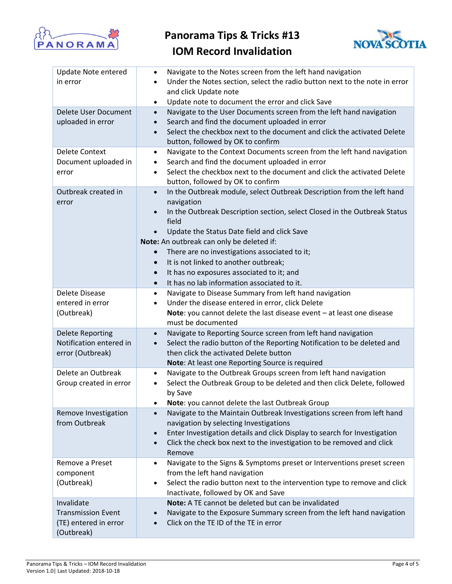



| <b>Update Note entered</b><br>in error                                         | Navigate to the Notes screen from the left hand navigation<br>$\bullet$<br>Under the Notes section, select the radio button next to the note in error<br>$\bullet$<br>and click Update note<br>Update note to document the error and click Save<br>$\bullet$                                                                                                                                                                      |
|--------------------------------------------------------------------------------|-----------------------------------------------------------------------------------------------------------------------------------------------------------------------------------------------------------------------------------------------------------------------------------------------------------------------------------------------------------------------------------------------------------------------------------|
| Delete User Document<br>uploaded in error                                      | Navigate to the User Documents screen from the left hand navigation<br>$\bullet$<br>Search and find the document uploaded in error<br>$\bullet$<br>Select the checkbox next to the document and click the activated Delete<br>$\bullet$<br>button, followed by OK to confirm                                                                                                                                                      |
| <b>Delete Context</b><br>Document uploaded in<br>error                         | Navigate to the Context Documents screen from the left hand navigation<br>$\bullet$<br>Search and find the document uploaded in error<br>$\bullet$<br>Select the checkbox next to the document and click the activated Delete<br>$\bullet$<br>button, followed by OK to confirm                                                                                                                                                   |
| Outbreak created in<br>error                                                   | In the Outbreak module, select Outbreak Description from the left hand<br>$\bullet$<br>navigation<br>In the Outbreak Description section, select Closed in the Outbreak Status<br>$\bullet$<br>field<br>Update the Status Date field and click Save<br>$\bullet$<br>Note: An outbreak can only be deleted if:<br>There are no investigations associated to it;<br>$\bullet$<br>It is not linked to another outbreak;<br>$\bullet$ |
|                                                                                | It has no exposures associated to it; and<br>$\bullet$<br>It has no lab information associated to it.<br>$\bullet$                                                                                                                                                                                                                                                                                                                |
| Delete Disease<br>entered in error<br>(Outbreak)                               | Navigate to Disease Summary from left hand navigation<br>$\bullet$<br>Under the disease entered in error, click Delete<br>$\bullet$<br><b>Note:</b> you cannot delete the last disease event $-$ at least one disease<br>must be documented                                                                                                                                                                                       |
| <b>Delete Reporting</b><br>Notification entered in<br>error (Outbreak)         | Navigate to Reporting Source screen from left hand navigation<br>$\bullet$<br>Select the radio button of the Reporting Notification to be deleted and<br>$\bullet$<br>then click the activated Delete button<br>Note: At least one Reporting Source is required                                                                                                                                                                   |
| Delete an Outbreak<br>Group created in error                                   | Navigate to the Outbreak Groups screen from left hand navigation<br>$\bullet$<br>Select the Outbreak Group to be deleted and then click Delete, followed<br>$\bullet$<br>by Save<br>Note: you cannot delete the last Outbreak Group<br>$\bullet$                                                                                                                                                                                  |
| Remove Investigation<br>from Outbreak                                          | Navigate to the Maintain Outbreak Investigations screen from left hand<br>$\bullet$<br>navigation by selecting Investigations<br>Enter Investigation details and click Display to search for Investigation<br>$\bullet$<br>Click the check box next to the investigation to be removed and click<br>$\bullet$<br>Remove                                                                                                           |
| Remove a Preset<br>component<br>(Outbreak)                                     | Navigate to the Signs & Symptoms preset or Interventions preset screen<br>$\bullet$<br>from the left hand navigation<br>Select the radio button next to the intervention type to remove and click<br>$\bullet$<br>Inactivate, followed by OK and Save                                                                                                                                                                             |
| Invalidate<br><b>Transmission Event</b><br>(TE) entered in error<br>(Outbreak) | Note: A TE cannot be deleted but can be invalidated<br>Navigate to the Exposure Summary screen from the left hand navigation<br>$\bullet$<br>Click on the TE ID of the TE in error                                                                                                                                                                                                                                                |